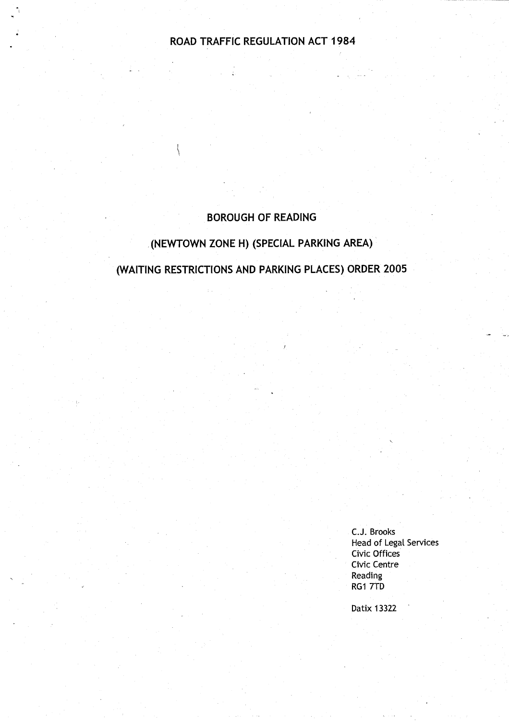# ROAD TRAFFIC **REGULATION** ACT 1984

# **BOROUGH OF READING**

# **. (NEWTOWN ZONE H) (SPECIAL PARKING AREA)**

(WAITING **RESTRICTIONS AND PARKING** PLACES) **ORDER 2005**

**C.J. Brook <sup>s</sup> Head of Legal Services** Civic Offices Civic Centre **Reading RG1 7TD** 

Datix 13322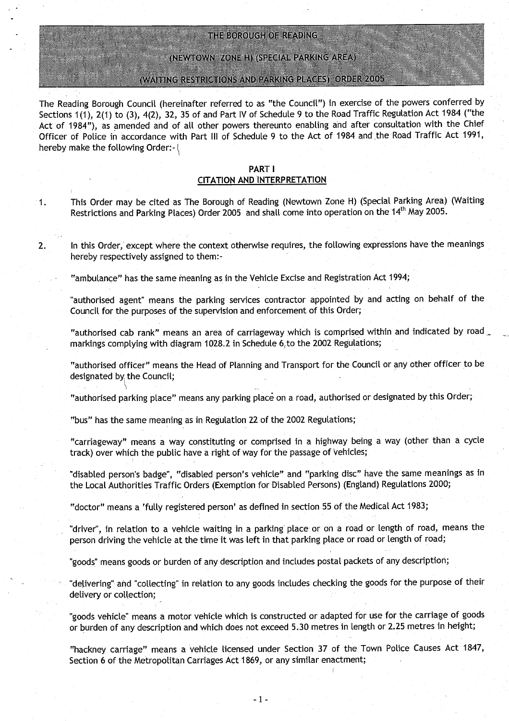### THE BOROUGH OF READING

(NEWTOWN ZONE H) (SPECIAL PARKING AREA)

#### (WAITING RESTRICTIONS AND PARKING PLACES) ORDER 2005

The Reading Borough Council (hereinafter referred to as "the Council") in exercise of the powers conferred by Sections 1(1), 2(1) to (3), 4(2), 32, 35 of and Part IV of Schedule 9 to the Road Traffic Regulation Act 1984 ("the Act of 1984"), **as amended** and of all other powers thereunto enabling and after consultation with the Chief Officer of Police in accordance with Part III of Schedule 9 to the Act of 1984 and the Road Traffic Act 1991, hereby make the following Order:- $\{$ 

### PART I CITATION AND INTERPRETATION

<sup>1</sup> . This Order may be cited as The Borough of Reading (Newtown Zone H) (Special Parking Area) (Waiting Restrictions and Parking Places) Order 2005 and shall come into operation on the 14<sup>th</sup> May 2005.

2. In this Order, except where the context otherwise requires, the following expressions have the meanings hereby respectively assigned to them:-

"ambulance" has the same **meaning as** in the Vehicle Excise and Registration Act 1994 ;

"authorised **agent** " **means the** parking services contractor appointed by and acting on behalf of the Council for the purposes of the supervision and enforcement of this Order;

"authorised cab rank" **means an area** of carriageway which is comprised within and indicated by road **markings** complying with diagram 1028 .2 in Schedule 6,to the 2002 **Regulations;**

"authorised officer" means the Head of Planning and Transport for the Council or any other officer to be designated by the Council;

"authorised parking place" means any parking place on a road, authorised or designated by this Order;

"bus" has the **same meaning as in Regulation** 22 of the 2002 Regulations;

"carriageway" **means** a way constituting or comprised in a highway being a way (other than a cycle track) over which the public have a right of way for the passage of vehicles;

"disabled person's badge", "disabled person's vehicle" and "parking disc" have the same meanings as in the Local Authorities Traffic Orders (Exemption for Disabled Persons) (England) Regulations 2000;

"doctor" means a `fully registered **person' as** defined in section 55 of the Medical Act 1983 ;

"driver", in relation to a vehicle waiting in a parking place or on a road or length of road, means the person driving the vehicle at the time it was left in that parking place or road or length of road;

"goods" means goods or burden of any description and includes postal packets of any description;

"delivering" and "collecting" in relation to any goods includes checking the goods for the purpose of their delivery or collection;

"goods vehicle" means a motor vehicle which is constructed or adapted for use for the carriage of goods or burden of any description and which does not exceed 5 .30 metres in length or 2.25 metres in height;

"hackney carriage" **means a** vehicle licensed under Section 37 of the Town Police Causes Act 1847, Section 6 of the Metropolitan Carriages Act 1869, or any similar enactment;

-1-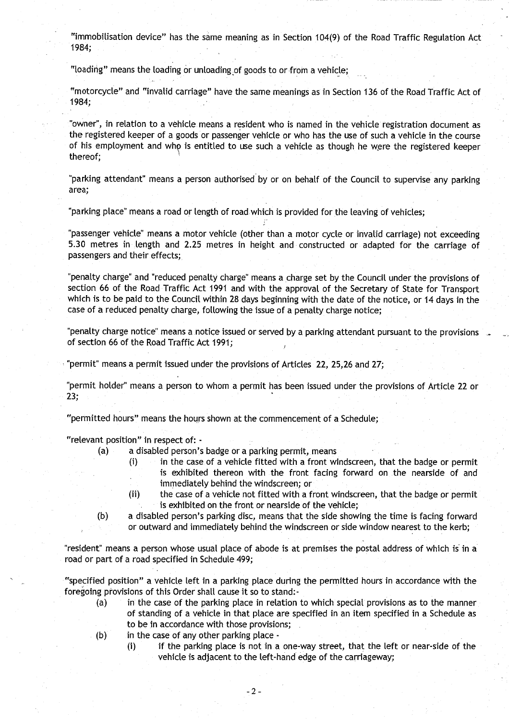"immobilisation device" has the same meaning as in Section 104(9) of the Road Traffic Regulation Act 1984;

"loading" means the loading or unloading of goods to or-from a vehicle;

"motorcycle" and "invalid carriage" have the same meanings as in Section 136 of the Road Traffic Act of 1984;

"Owner", in relation to a vehicle means a resident who is named in the vehicle registration document as the registered keeper of a goods or passenger vehicle or who has the use of such a vehicle in the course of his employment and whp is entitled to use such a vehicle as though he were the registered keeper thereof;

"parking attendant" means a person authorised by or on behalf of the Council to supervise any parking **area;**

"parking place" means a road or length of road.which is provided for the leaving of vehicles;

"passenger vehicle" means a motor vehicle (other than a motor cycle or invalid carriage) not exceeding 5.30 metres in length and 2.25 metres in height and constructed or adapted for the carriage of passengers and their effects;

"penalty charge" and "reduced penalty charge" means a charge set by the Council under the provisions of section 66 of the Road Traffic Act 1991 and with the approval of the Secretary of State for Transport which is to be paid to the Council within 28 days beginning with the date of the notice, or 14 days in the case of a reduced penalty charge, following the issue of a penalty charge notice;

"penalty charge notice" means a notice issued or served by a parking attendant pursuant to the provisions of section 66 of the Road Traffic Act 1991;

"permit" means a permit issued under the provisions of Articles 22, 25,26 and 27;

"permit holder" means a person to whom a permit has been issued under the provisions of Article 22 or 23;

"permitted hours" means the hours shown at the commencement of a Schedule ;

"relevant position" in respect of: -

- **(a) a disabled** person's **badge or a parking permit, means**
	- (i) in the case of a vehicle fitted with a front windscreen, that the badge or permit is exhibited thereon with the front facing forward on the nearside of and immediately behind the windscreen; or
	- (ii) the case of a vehicle not fitted with a front windscreen, that the badge or permit **is exhibited on the front or nearside of the vehicle ;**
- (b) a disabled person's parking disc, means that the side showing the time is facing forward or outward and immediately behind the windscreen or side window nearest to the kerb;

**"resident**" **means a person whose usual place of abode is at premises the postal address of which is in a** road or part of a road specified in Schedule 499;

"specified position" a vehicle left in a parking place during the permitted hours in accordance with the **foregoing provisions of this Order shall cause it so to stand :-**

- (a) in the case of the parking place in relation to which special provisions as to the manner of standing of a vehicle in that place are specified in an item specified in a Schedule as to be in accordance with those provisions;
- $(b)$  in the case of any other parking place -
	- (i) if the parking place is not in a one-way street, that the left or near-side of the vehicle is adjacent to the left-hand edge of the carriageway;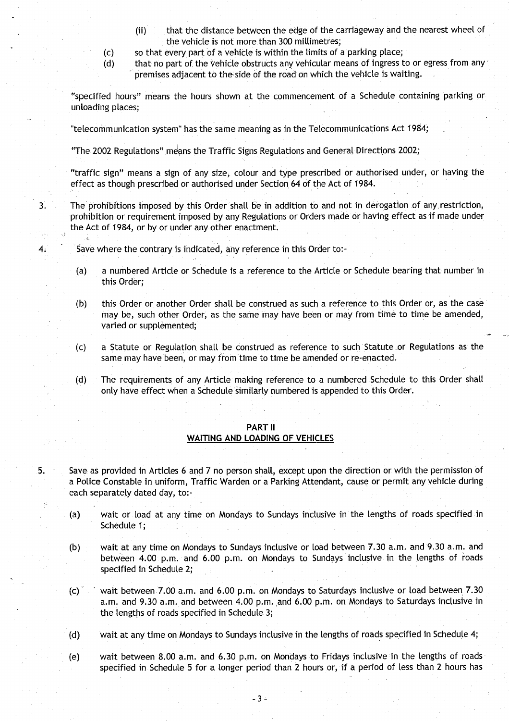- (ii) that the distance between the edge of the carriageway and the nearest wheel of the vehicle is not more than 300 millimetres;
- (c) so that every part of a vehicle is within the limits of a parking place ;
- (d) that no part of the vehicle obstructs any vehicular means of ingress to or egress from any premises adjacent to the side of the road on which the vehicle is waiting.

"specified hours" means the hours shown at the commencement of a Schedule containing parking or unloading places;

"telecommunication system" has the same meaning as in the Telecommunications Act 1984;

"The 2002 Regulations" means the Traffic Signs Regulations and General Directions 2002;

"traffic sign" means a sign of any size, colour and type prescribed or authorised under, or having the effect as though prescribed or authorised under Section 64 of the Act of 1984 .

<sup>3</sup> . The prohibitions imposed by this Order shall be in addition to and not in derogation of any, restriction, 'prohibition or requirement imposed by any Regulations or Orders made or having effect as if made under the Act of 1984, or by or under any other enactment.

- 4. Save where the contrary is indicated, any reference in this Order to:-
	- (a) a numbered Article or Schedule is a reference to the Article or Schedule bearing that number in this Order;
	- (b) this Order or another Order shall be construed as such a reference to this Order or, as the case may be, such other Order, as the same may have been or may from time to time be amended, varied or supplemented;
	- (c) a Statute or Regulation shall be construed as reference to such Statute or Regulations as the same may have been, or may from time to time be amended or re-enacted .
	- (d) The requirements of any Article making reference to a numbered Schedule to this Order shall only have effect when a Schedule similarly numbered is appended to this Order .

#### **PART II**

### WAITING AND LOADING OF VEHICLES

5. Save as provided in Articles 6 and 7 no person shall, except upon the direction or with the permission of a Police Constable in uniform, Traffic Warden or a Parking Attendant, cause or permit any vehicle during each separately dated day, to:-

- (a) wait or load at any time on Mondays to Sundays inclusive in the lengths of roads specified in Schedule 1;
- (b) wait at any time on Mondays to Sundays inclusive or load between 7.30 a.m. and 9.30 a.m . and between 4.00 p.m. and 6.00 p.m. on Mondays to Sundays inclusive in the lengths of roads specified in Schedule 2;
- (c) wait between 7.00 a.m. and 6.00 p.m. on Mondays to Saturdays inclusive or load between 7.30 a.m. and 9.30 a.m. and between 4.00 p.m. and 6.00 p.m. on Mondays to Saturdays inclusive in the lengths of roads specified in Schedule 3;
- (d) wait at any time on Mondays to Sundays inclusive in the lengths of roads specified in Schedule 4;
- (e) wait between 8.00 a.m. and 6.30 p.m. on Mondays to Fridays inclusive in the lengths of roads specified in Schedule 5 for a longer period than 2 hours or, if a period of less than 2 hours has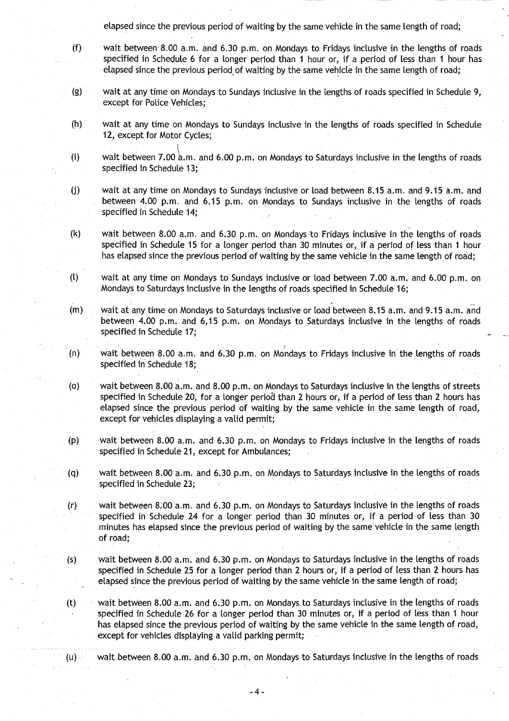elapsed since the previous period of waiting by the same vehicle in the same length of road;

- (f) wait between 8.00 a.m . and 6 .30 p.m . on Mondays to Fridays inclusive in the lengths of roads specified in Schedule 6 for a longer period than 1 hour or, if a period of less than 1 hour has elapsed since the previous period of waiting by the same vehicle in the same length of road;
- (g) wait at any time on Mondays to Sundays inclusive in the lengths of roads specified in Schedule 9, except for Police Vehicles;
- (h) wait at any time on Mondays to Sundays inclusive in the lengths of roads specified in Schedule 12, except for Motor Cycles;
- (i) wait between 7.00  $a.m.$  and 6.00 p.m. on Mondays to Saturdays inclusive in the lengths of roads specified in Schedule 13:
- (j) wait at any time on Mondays to Sundays inclusive or load between 8.15 a.m . and 9 .15 a.m. and between 4.00 p.m. and 6 .15 p.m. on Mondays to Sundays inclusive in the lengths of roads specified in Schedule 14:
- (k) wait between 8.00 a.m . and 6.30 p.m. on Mondays to Fridays inclusive in the lengths of roads specified in Schedule 15 for a longer period than 30 minutes or, if a period of less than 1 hour has elapsed since the previous period of waiting by the same vehicle in the same length of road;
- (l) wait at any time on Mondays to Sundays inclusive or load between 7 .00 a.m. and 6.00 p.m . on Mondays to Saturdays inclusive in the lengths of roads specified in Schedule 16;
- (m) wait at any time on Mondays to Saturdays inclusive or load between 8 .15 a.m. and 9 .15 a.m. and between 4.00 p.m. and 6,15 p.m. on Mondays to Saturdays inclusive in the lengths of roads specified in Schedule 17;
- (n) wait between 8 .00 a .m. and 6.30 p.m. on Mondays to Fridays inclusive in the lengths of roads specified in Schedule 18;
- (o) wait between 8.00 a.m. and 8.00 p.m. on Mondays to Saturdays inclusive in the lengths of streets specified in Schedule 20, for a longer period than 2 hours or, if a period of less than 2 hours has elapsed since the previous period of waiting by the same vehicle in the same length of road, except for vehicles displaying a valid permit;
- (p) wait between 8 .00 a .m . and 6.30 p.m . on Mondays to Fridays inclusive in the lengths of roads specified in Schedule 21, except for Ambulances;
- (q) wait between 8.00 a.m. and 6.30 p.m. on Mondays to Saturdays inclusive in the lengths of roads specified in Schedule 23;
- (r) wait between 8.00 a.m . and 6 .30 p.m . on Mondays to Saturdays inclusive in the lengths of roads specified in Schedule 24 for a longer period than 30 minutes or, if a period of less than 30 minutes has elapsed since the previous period of waiting by the same vehicle in the same length of road;
- (s) wait between 8.00 a.m. and 6.30 p.m. on Mondays to Saturdays inclusive in the lengths of roads specified in Schedule 25 for a longer period than 2 hours or, if a period of less than 2 hours has elapsed since the previous period of waiting by the same vehicle in the same length of road;
- (t) wait between 8.00 a.m. and 6.30 p.m. on Mondays to Saturdays inclusive in the lengths of roads specified in Schedule 26 for a longer period than 30 minutes or, if a period of less than 1 hour has elapsed since the previous period of waiting by the same vehicle in the same length of road, except for vehicles displaying a valid parking permit;
- $(u)$  wait between 8.00 a.m. and 6.30 p.m. on Mondays to Saturdays inclusive in the lengths of roads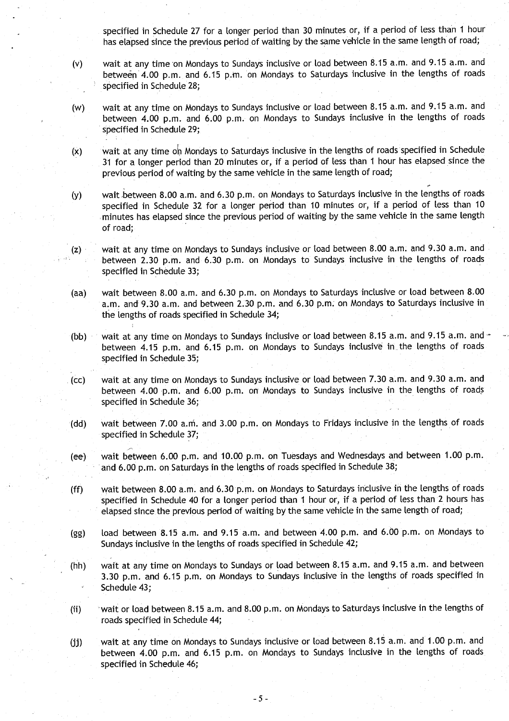**specified in Schedule 27 for a longer period than 30 minutes or, if a period of less than 1 hour** has elapsed since the previous period of waiting by the same vehicle in the same length of road;

- **(v) wait at any time,on Mondays to Sundays inclusive or load between 8 .15 a .m** . **and 9**. **15 a.m . and between 4**. **00 p.m. and 6**. **15 p.m . on Mondays to Saturdays inclusive in the lengths of roads specified in Schedule 28;**
- **(w) wait at any time on Mondays to Sundays inclusive or load between 8 .15 a .m** . **and 9 .15 a .m . and** between 4.00 p.m. and 6.00 p.m. on Mondays to Sundays inclusive in the lengths of roads **specified in Schedule 29;**
- (x) wait at any time on Mondays to Saturdays inclusive in the lengths of roads specified in Schedule **31 for a longer period than 20 minutes or, if a period of less than 1 hour has elapsed since the previous period of waiting by the same vehicle in the same length of road;**
- **(y) wait .between 8.00 a.m . and 6.30 p.m**. **on Mondays to Saturdays inclusive in the lengths of roads specified in Schedule 32 for a longer period than 10 minutes or, if a period of less than 10 minutes has elapsed since the previous period of waiting by the same vehicle in the same length of road;**
- **(z) wait at any time on Mondays to Sundays inclusive or load between 8 .00 a.m . and 9.30 a.m. and between 2.30 p**.**m. and 6.30 p.m . on Mondays to Sundays inclusive in the lengths of roads specified in Schedule 33;**
- **(aa) wait between 8 .00 a**. **<sup>m</sup> . and 6.30 p**. **m. on Mondays to Saturdays inclusive or load between 8 .00 a.m. and 9 .30 a .m . and between 2**.**30 p .m . and 6.30 p .m: on Mondays to Saturdays inclusive in the lengths of roads specified in Schedule 34 ;**
- **(bb) wait at any time on Mondays to Sundays inclusive or load between 8 .15 a .m** . **and 9** . **15 a .m . and between 4**. **15 p.m . and 6 .15 p.m**. **on Mondays to Sundays inclusive in\_ the lengths of roads specified in Schedule 35;**
- **(cc) wait at any time on Mondays to Sundays inclusive or load between 7 .30 a .m . and 9 .30 a .m . and between 4**. **00 p .m . and 6 .00 p.m. on Mondays to Sundays inclusive in the lengths of roads specified in Schedule 36;**
- **(dd) wait between 7 .00 a.m. and 3 .00 p**.**<sup>m</sup> . on Mondays to Fridays inclusive in the lengths of roads specified in Schedule 37 ;**
- **(ee) wait between 6.00 p**. **m. and 10** . **00 p.m . on Tuesdays and Wednesdays and between 1 .00 p.m . and 6**.**00 p .m . on Saturdays in the lengths of roads specified in Schedule 38 ;**
- (ff) wait **between 8.00 a**. **<sup>m</sup> . and 6.30 p.m . on Mondays to Saturdays inclusive in the lengths of roads specified in Schedule 40 for a longer period than 1 hour or, if a period of less than 2 hours has elapsed since the previous period of waiting by the same vehicle in the same length of road ;**
- **(gg) load between 8.15 a.m. and 9** . **15 a.m. and between 4.00** p.m . **and 6** . **00 p.m . on Mondays to Sundays inclusive in the lengths of roads specified in Schedule 42 ;**
- **(hh) wait at any time on Mondays to Sundays or load between 8 .15 a.m . and 9 .15 a .m** . **and between 3.30 p.m . and 6.15 p.m. on Mondays to Sundays inclusive in the lengths of roads specified in Schedule 43 ;**
- **(ii) wait or load between 8** . **15 a.m . and 8.00 p.m**. **on Mondays to Saturdays inclusive in the lengths of roads specified in Schedule 44;**

**(jj) wait at any time on Mondays to Sundays inclusive or load between 8 .15 a.m** . **and 1 .00 p.m. and between 4**.**00 p.m. and 6**. **15 p.m . on Mondays to Sundays inclusive in the lengths of roads specified in Schedule 46;**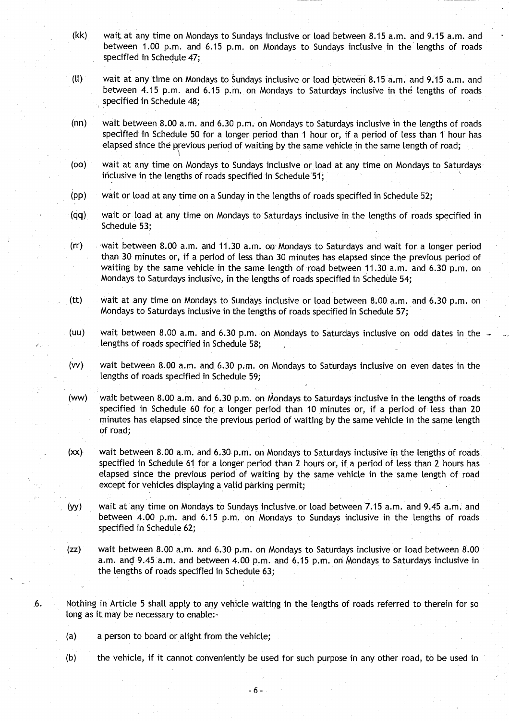- (kk) wait at any time on Mondays to Sundays inclusive or load between 8.15 a.m. and 9.15 a.m. and between 1.00 p.m. and 6.15 p.m. on Mondays to Sundays inclusive in the lengths of roads specified in Schedule 47;
- (ll) wait at any time on Mondays to Sundays inclusive or load between 8 .15 a.m. and 9.15 a .m. and between 4.15 p.m. and 6.15 p.m. on Mondays to Saturdays inclusive in the lengths of roads specified in Schedule 48;
- (nn) wait between 8.00 a.m. and 6.30 p.m. on Mondays to Saturdays inclusive in the lengths of roads specified in Schedule 50 for a longer period than 1 hour or, if a period of less than 1 hour has elapsed since the previous period of waiting by the same vehicle in the same length of road;
- (oo) wait at any time on Mondays to Sundays inclusive or load at any time on Mondays to Saturdays inclusive in the lengths of roads specified in Schedule 51;
- (pp) wait or load at any time on a Sunday in the lengths of roads specified in Schedule 52 ;
- (qq) wait or load at any time on Mondays to Saturdays inclusive in the lengths of roads specified in Schedule 53;
- (rr) wait between 8.00 a. m . and 11 .30 a. m. on, Mondays to Saturdays and wait for a longer period than 30 minutes or, if a period of less than 30 minutes has elapsed since the previous period of waiting by the same vehicle in the same length of road between 11 .30 a.m. and 6.30 p.m. on Mondays to Saturdays inclusive, in the lengths of roads specified in Schedule 54 ;
- (tt) wait at any time on Mondays to Sundays inclusive or load between 8.00 a.m. and 6.30 p.m. on Mondays to Saturdays inclusive in the lengths of roads specified in Schedule 57;
- (uu) wait between 8 .00 a.m. and 6.30 p.m. on Mondays to Saturdays inclusive on odd dates in the lengths of roads specified in Schedule 58;
- (vv) wait between 8 .00 a.m . and 6.30 p.m . on Mondays to Saturdays inclusive on even dates in the lengths of roads specified in Schedule 59;
- (ww) wait between 8.00 a.m. and 6.30 p.m. on Mondays to Saturdays inclusive in the lengths of roads specified in Schedule 60 for a longer period than 10 minutes or, if a period of less than 20 minutes has elapsed since the previous period of waiting by the same vehicle in the same length of road;
- $(xx)$  wait between 8.00 a.m. and 6.30 p.m. on Mondays to Saturdays inclusive in the lengths of roads. specified in Schedule 61 for a longer period than 2 hours or, if a period of less than 2 hours has elapsed since the previous period of waiting by the same vehicle in the same length of road except for vehicles displaying a valid parking permit;
- (yy) wait at any time on Mondays to Sundays inclusive or load between 7.15 a.m. and 9.45 a.m. and between 4.00 p.m. and 6.15 p.m. on Mondays to Sundays inclusive in the lengths of roads specified in Schedule 62;
- (zz) wait between 8.00 a.m. and 6 .30 p.m . on Mondays to Saturdays inclusive or load between 8.00 <sup>a</sup> .m . and 9.45 a.m . and between 4.00 p.m . and 6 .15 p .m . on Mondays to Saturdays inclusive in the lengths of roads specified in Schedule 63;
- .6. Nothing in Article 5 shall apply to any vehicle waiting in the lengths of roads referred to therein for so long as it may be necessary to enable:-
	- (a) a person to board or alight from the vehicle;
	- (b) the vehicle, if it cannot conveniently be used for such purpose in any other road, to be used in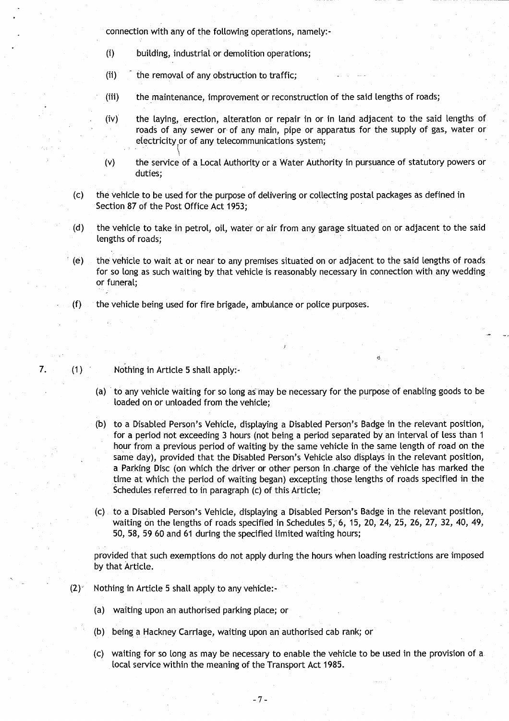**connection with any of the following operations, namely:-**

- **(i) building**, **industrial or demolition operations ;**
- **(ii) the removal of any obstruction to traffic ;**
- **(iii) the maintenance**, **improvement or reconstruction of the said lengths of roads;**
- **(iv) the laying, erection**, **alteration or repair in or in land adjacent to the said lengths of roads of any sewer or**- **of any main, pipe or apparatus for the supply of gas**, **water or** electricity or of any telecommunications system; the laying,<br>roads of an<br>electricity<br>the service
- (v) the service of a Local Authority or a Water Authority in pursuance of statutory powers or **duties;**
- **(c) the vehicle to be used for the purpose of delivering or collecting postal packages as defined in Section 87 of the Post Office Act 1953 ;**
- **(d) the vehicle to take in petrol** , **oil, water or air from any garage situated on or adjacent to the said lengths of roads;**
- **(e) the vehicle to wait at or near to any premises situated on or adjacent to the said lengths of roads** for so long as such waiting by that vehicle is reasonably necessary in connection with any wedding **or funeral;**
- ( **f) the vehicle being used for fire b**ri**gade**, **ambulance or police purposes .**
- **7. (1) Nothing in Article 5 shall apply :**
	- **(a) to any vehicle waiting for so long as** may **be necessa**ry **for the purpose of enabling goods to be** loaded on or unloaded from the vehicle;
	- **(b) to a Disabled Person's Vehicle, displaying a Disabled Person** '**s Badge in the relevant position, for a period not exceeding 3 hours** (**not being a period separated by an interval of less than** I **hour from a previous period of waiting by the same vehicle in the same length of road on the same day**), **provided that the Disabled Person's Vehicle also displays in** the **relevant position, a Parking Disc (on which the driver or other person in .charge of the vehicle has marked the time at which the period of waiting began) excepting those lengths of roads specified in the Schedules referred to in paragraph** (**c) of this Article ;**
	- **(c) to a Disabled Person's Vehicle** , **displaying a Disabled Person** ' **s Badge in the relevant position, waiting on the lengths of roads specified in Schedules** 5, 6, **15, 20, 24, 25, 26, 27**, **32, 40, 49, 50, 58, 59 60 and 61 du**ri**ng the specified limited waiting hours ;**

**provided that such exemptions do not apply during the hours when loading restrictions are imposed by that Article.**

- **(2), Nothing in Article 5 shall apply to any vehicle :**
	- (a) waiting upon an authorised parking place; or
	- **(b) being a Hackney Carriage, waiting upon an authorised cab rank ; or**
	- **(c) waiting for so long as may be necessa** ry **to enable the vehicle to be used in the provision of a local service within the meaning of the Transport Act 1985 .**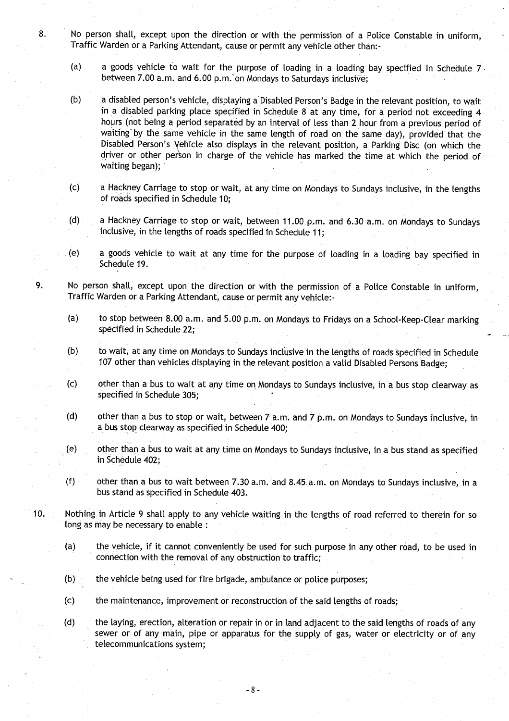- **<sup>8</sup> . No person shall, except upon the direction or with the permission of a Police Constable in uniform,** Traffic Warden or a Parking Attendant, cause or permit any vehicle other than:-
	- (a) a goods vehicle to wait for the purpose of loading in a loading bay specified in Schedule 7. **between 7**.**00 a .m** . **and 6.00 p**. **m.'on Mondays to Saturdays inclusive;**
	- **(b) a disabled person's vehicle, displaying a Disabled Person**' **s Badge in the relevant position, to wait** in a disabled parking place specified in Schedule 8 at any time, for a period not exceeding 4 **hours** (**not being a period separated by an interval of less than 2 hour from a previous period of waiting**" **by the same vehicle in the same length of road on the same day), provided that the Disabled Person** '**s Vehicle also displays in the relevant position**, **a Parking Disc (on which the driver or other person in charge of the vehicle has marked the time at which the period of waiting began);**
	- **(c) a Hackney Carriage to stop or wait, at any time on Mondays to Sundays inclusive, in the lengths of roads specified in Schedule 10 ;**
	- **(d) a Hackney Carriage to stop or wait, between 11 .00 p..m . and 6.30 a** . **m. on Mondays to Sundays inclusive, in the lengths of roads specified in Schedule 11 ;**
	- **(e) a goods vehicle to wait at any time for the purpose of loading in a loading bay specified in Schedule 19.**
- **9. No person shall, except upon the direction or with the permission of a Police Constable in uniform, Traffic Warden or a Parking Attendant, cause or permit any vehicle :-**
	- **(a) to stop between 8.00 a.m. and 5 .00 p.m. on Mondays to Fridays on a School**-**Keep-Clear marking specified in Schedule 22;**
	- **(b) to wait, at any time on Mondays to Sundays inclusive in the lengths of roads specified in Schedule 107 other than vehicles displaying in the relevant position a valid Disabled Persons Badge;**
	- **(c) other than**..**a bus to wait at any time on Mondays to Sundays inclusive, in a bus stop clearway as specified in Schedule 305 ;**
	- **(d) other than a bus to stop or wait, between 7 a .m. and 7 p.m. on Mondays to Sundays inclusive, in a bus** stop **clearway as specified in Schedule 400 ;**
	- **(e) other than a bus to wait at any time on Mondays to Sundays inclusive, in** a **bus stand as specified in Schedule 402;**
	- **(f) other than a bus to wait between 7** .**30 a.m . and 8.45**. **a.m. on Mondays to Sundays inclusive, in a bus stand as specified in Schedule 403 .**
- **10. Nothing in Article 9 shall apply to any vehicle waiting in the lengths of road referred to therein for so long as may be necessary to enable :** 
	- **(a) the vehicle**, **if it cannot conveniently be used for such purpose in any other road, to be used in connection with the removal of any obstruction to traffic ;**
	- **(b) the vehicle being used for fire brigade** , **ambulance or police purposes;**
	- **(c) the maintenance** , **improvement or reconstruction of the said lengths of roads ;**
	- **(d) the laying, erection**, **alteration or repair in or in land adjacent to the said lengths of roads of any sewer or of any main**, **pipe or apparatus for the supply of gas, water or electricity or of any telecommunications system;**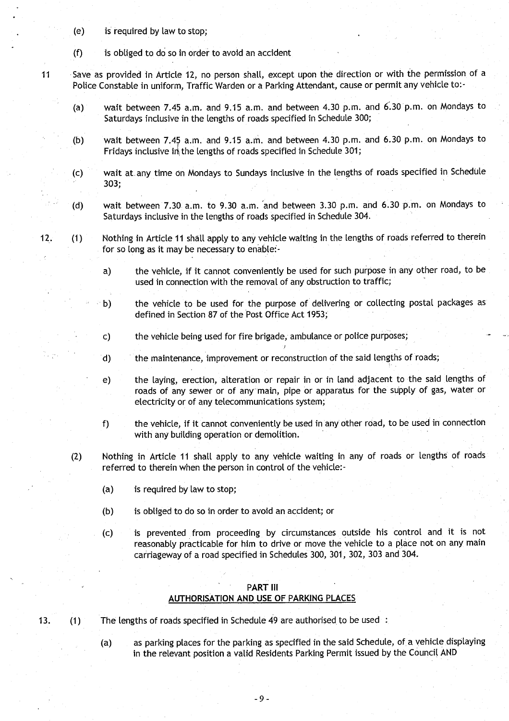- (e) is required by law to stop ;
- $(f)$  is obliged to do so in order to avoid an accident
- 11 \_ Save as provided in Article 12, no person shall, except upon the direction or with the permission of a Police Constable in uniform, Traffic Warden or a Parking Attendant, cause or permit any vehicle to:-
	- (a) wait between 7.45 a.m. and 9.15 a.m. and between 4.30 p.m. and  $6.30$  p.m. on Mondays to Saturdays inclusive in the lengths of roads specified in Schedule 300;
	- (b) wait between 7.45 a.m. and 9.15 a.m. and between 4.30 p.m. and 6.30 p.m. on Mondays to Fridays inclusive in the lengths of roads specified in Schedule 301;
	- (c) wait at. any time on Mondays to Sundays inclusive in the lengths of roads specified in Schedule 303;
	- (d) wait between 7.30 a.m. to 9.30 a.m. and between 3.30 p.m. and 6.30 p.m. on Mondays to Saturdays inclusive in the lengths of roads specified in Schedule 304 .
	-

12. (1) Nothing in Article 11 shall apply to any vehicle waiting in the lengths of roads referred to therein for so long as it may be necessary to enable:

- a) the vehicle, if it cannot conveniently be used for such purpose in any other road, to be used in connection with the removal of any obstruction to traffic;
- b) the vehicle to be used for the purpose of delivering or collecting postal packages as defined in Section 87 of the Post Office Act 1953;
- c) the vehicle being used for fire brigade, ambulance or police purposes;
- d) the maintenance, improvement or reconstruction of the said lengths of roads;
- e) the laying, erection, alteration or repair in or in land adjacent to the said lengths of roads of any sewer or of any main, pipe or apparatus for the supply of gas, water or electricity or of any telecommunications system;
- f) the vehicle, if it cannot conveniently be used in any other road, to be used in connection with any building operation or demolition.
- (2) Nothing in Article 11 shall apply to any vehicle waiting in any of roads or lengths of roads referred to therein when the person in control of the vehicle:-
	- (a) is required by law to stop;
	- (b) is obliged to do so in order to avoid an accident; or
	- (c) is prevented from proceeding by circumstances outside his control and it is not reasonably practicable for him to drive or move the vehicle to a place not on any main carriageway of a road specified in Schedules 300, 301, 302, 303 and 304 .

### PART III AUTHORISATION AND USE OF PARKING PLACES

13. (1) The lengths of roads specified in Schedule 49 are authorised to be used:

(a) as parking places for the parking as specified in the said Schedule, of. a vehicle displaying in the relevant position a valid Residents Parking Permit issued by the Council AND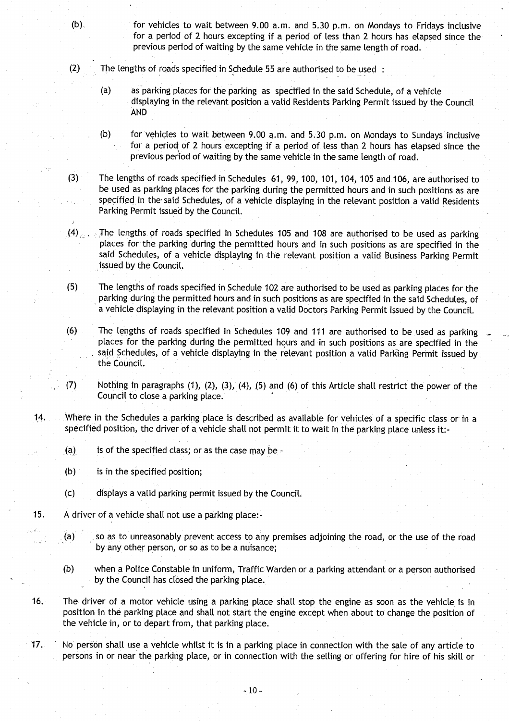- (b). for vehicles to wait between 9.00 a.m. and 5 .30 p.m . on Mondays to Fridays inclusive for a period of 2 hours excepting if a period of less than 2 hours has elapsed since the previous period of waiting by the same vehicle in the same length of road .
- $(2)$  The lengths of roads specified in Schedule 55 are authorised to be used:
	- (a) as parking places for the parking as specified in the said Schedule, of a vehicle displaying in the relevant position a valid Residents Parking Permit issued by the Council **AND**
	- (b) for vehicles to wait between 9 .00 a.m. and 5 .30 p.m . on Mondays to Sundays inclusive for a period of 2 hours excepting if a period of less than 2 hours has elapsed since the previous period of waiting by the same vehicle in the same length of road.
- (3) The lengths of roads specified in Schedules 61, 99, 100, 101, 104, 105 and 106, are authorised to be used as parking places for the parking during the permitted hours and in such positions as are specified in the- said Schedules, of a vehicle displaying in the relevant position a valid Residents Parking Permit issued by the Council.
- (4), : The lengths of roads specified in Schedules 105 and 108 are authorised to be used as parking places for the parking during the permitted hours and in such positions as are specified in the said Schedules, of a vehicle displaying in the relevant position a valid Business Parking Permit issued by the Council.
- (5) The lengths of roads specified in Schedule 102 are authorised to be used as parking places for the parking during the permitted hours and in such positions as are specified in the said Schedules, of a vehicle displaying in the relevant position a valid Doctors Parking Permit issued by the Council .
- (6) The lengths of roads specified in Schedules 109 and 111 are authorised to be used as parking places for the parking during the permitted hours and in such positions as are specified in the said Schedules, of a vehicle displaying in the relevant position a valid Parking Permit issued by the Council.
- (7) Nothing in paragraphs (1), (2), (3), (4), \_(5) and (6) of this Article shall restrict the power of the Council to close a parking place .
- 14. Where in the Schedules a parking place is described as available for vehicles of a specific class or in a specified position, the driver of a vehicle shall not permit it to wait in the parking place unless it:-
	- $(a)$ , is of the specified class; or as the case may be -
	- (b) is in the specified position;
	- (c) displays a valid parking permit issued by the Council .
- 15. A driver of a vehicle shall not use a parking place:
	- (a) so as to unreasonably prevent access to any premises adjoining the road, or the use of the road by any other person, or so as to be a nuisance;
	- (b) when a Police Constable in uniform, Traffic Warden or a parking attendant or a person authorised by the Council has closed the parking place.
- 16. The driver of a motor vehicle using a parking place shall stop the engine as soon as the vehicle is in position in the parking place and shall not start the engine except when about to change the position of the vehicle in, or to depart from, that parking place .
- 17. No person shall use a vehicle whilst it is in a parking place in connection with the sale of any article to persons in or near the parking place, or in connection with the selling or offering for hire of his skill or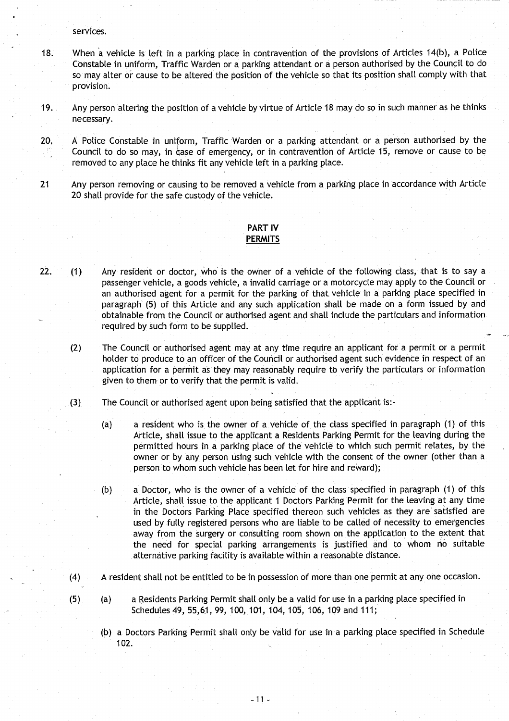**se**rv**ices.**

- 18. When a vehicle is left in a parking place in contravention of the provisions of Articles 14(b), a Police **Constable in uniform**, **Traffic Warden or a parking attendant or a person authorised by the Council to do** so may alter or cause to be altered the position of the vehicle so that its position shall comply with that **provision.**
- **19 . Any person altering the position of a vehicle by virtue of Article 18 may do so in such manner as he thinks necessa**ry**.**
- 20. A Police Constable in uniform, Traffic Warden or a parking attendant or a person authorised by the **Council to do so may** , **in ease of emergency** , **or in contravention of Article 15** , **remove or cause to be removed to any place he thinks fit any vehicle left in a parking place .**
- **21 Any person removing or causing to be removed a vehicle from a parking place in accordance** with Article **20 shall provide for the safe custody of the vehicle.**

### **PART IV PERMITS**

- **22.** (1) Any resident or doctor, who is the owner of a vehicle of the following class, that is to say a **passenger vehicle, a goods vehicle**, **a invalid carriage or a motorcycle may apply to the Council or an authorised agent for a permit for the parking of that vehicle in a parking place specified in paragraph** ( **5) of this Article and any such application shall be made on a form issued by and obtainable from the Council or authorised agent and shall include the particulars and information** required by such form to be supplied.
	- **(2) The Council or authorised agent may at any time require an applicant for a permit or a permit holder to produce to an officer of the** Council or **authorised agent such evidence in respect of an application for a permit as they may reasonably require to verify the particulars or information given to them or to verify that the permit is valid .**
	- (3) The **Council or authorised agent upon being satisfied that the applicant is:-**
		- **(a) a resident who is, the owner of a vehicle of the class specified in paragraph** ( **1) of this Article, shall issue to the applicant a Residents Parking Permit for the leaving during the permitted hours** in, a **parking place of the vehicle to which such permit relates, by the owner or by any person using such vehicle with the consent of the owner (other than a person to whom such vehicle has been let for hire and reward) ;**
		- **(b) a Doctor**, **who is the owner of a vehicle of the class specified in paragraph (1) of this Article, shall issue to the applicant I Doctors Parking Permit for the leaving at any time** in the Doctors Parking Place specified thereon such vehicles as they are satisfied are **used by fully registered persons who are liable to be called of necessity to emergencies** away from the surgery or consulting room shown on the application to the extent that **the need for special parking arrangements is justified and to whom no suitable alternative parking facility is available within a reasonable distance .**
	- **(4) A resident shall not be entitled to be in possession of more than one permit at any one occasion .**
	- **(5) (a) a Residents Parking Permit shall only be a valid for use in a parking place specified in Schedules 49, 55** ,**61, 99, 100, 101** , **104, 105, 106, 109 and 111 ;**
		- **(b) a Doctors Parking Permit shall only be valid for use in a parking place specified in Schedule 102 .**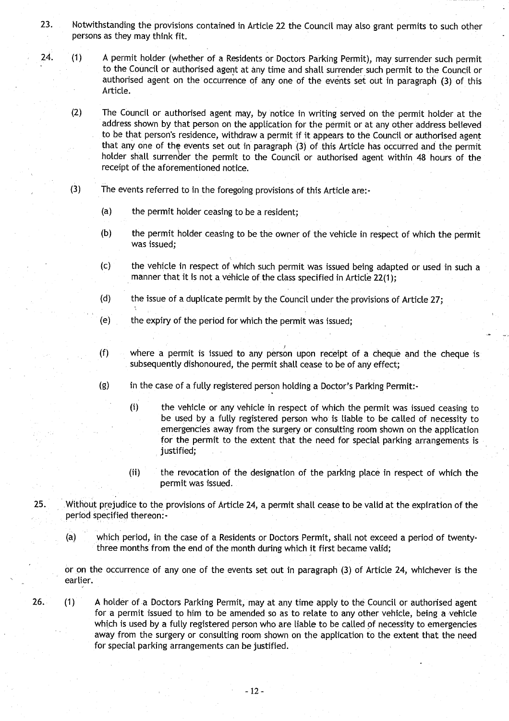- **23 . Notwithstanding the provisions contained in Article 22 the Council may also grant permits to such other persons as they may think fit .**
- **24. (1) A permit holder** (**whether of a Residents or Doctors Parking Permit**), **may surrender such permit - to the Council or authorised agent at any time and shall surrender such permit to the Council or authorised agent on the occurrence of any one of the events set out in paragraph** (**3) of this Article .**

**(2) The Council or authorised agent may**, **by notice in writing served on the permit holder at the address shown by that person on the application for the permit or at any other address believed to be that person**'**s residence**, **withdraw a permit if it appears to the Council or authorised agent that any one of the events set out in paragraph** (**3) of this Article has occurred and the permit holder shall surrender the permit to the Council or authorised agent within 48 hours of the receipt of the aforementioned notice .**

- **(3) The events referred to in the foregoing provisions of this Article are :-**
	- **(a) the permit holder ceasing to be a resident ;**
	- **(b) the permit holder ceasing to be the owner of the vehicle in respect of which the permit was issued ;**
	- **(c) the vehicle in respect of which such permit was issued being adapted or used in such a manner that it is not a vehicle of the class specified in Article 22(1);**
	- **(d) the issue of a duplicate permit by the Council under the provisions of Article 27;**
	- **(e) the expi**ry **of the pe**ri**od for which the permit was issued ;**
	- **(f) where a permit is issued to any person upon receipt of a cheque and the cheque is subsequently dishonoured** , **the permit shall cease to be of any effect;**
	- **(g) in the case of a fully registered person holding a** Doctor's **Parking Permit:-**
		- **(i) the vehicle or any vehicle in respect of which the permit was issued ceasing to be used by a fully registered person who is liable to be called of necessity to** emergencies away from the surgery or consulting room shown on the application **for the permit to the extent that the need for special parking arrangements is justified;**
		- **(ii) the revocation of the designation of the parking place in respect of which the permit was issued .**
- **25 . Without prejudice to the provisions of Article 24, a permit shall cease to be valid at the expiration of the period specified thereon .-**
	- **(a) which period, in**, **the case of a Residents** or **Doctors Permit, shall not exceed a period of twentythree months from the end of the month during which it first became valid;**

**or on the occurrence of any one of the events set out in paragraph (3) of Article 24, whichever is the earlier.**

**26. (1) A holder of a Doctors Parking Permit, may at any time apply to the Council or authorised agent for a permit issued to him to be amended so as to relate to any other vehicle, being a vehicle which is used by a fully registered person who are liable to be called of necessity to emergencies** away from the surgery or consulting room shown on the application to the extent that the need **for special parking arrangements can be justified .**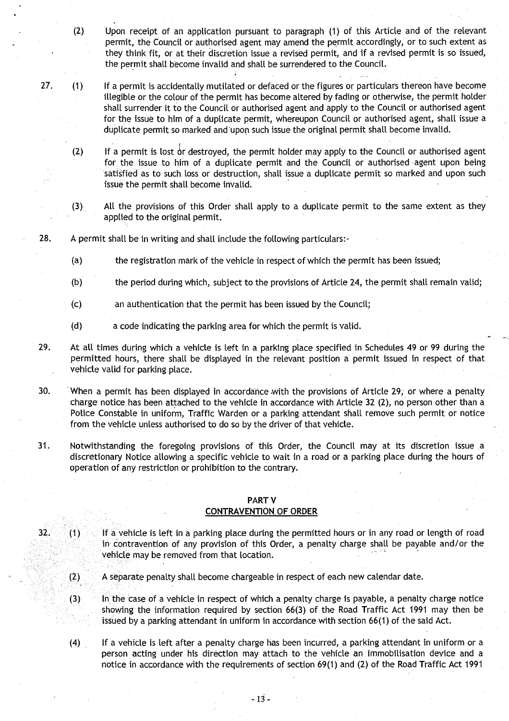- (2) Upon receipt **of an application pursuant to paragraph** (1) of this Article **and of the** relevant **permit, the Council or authorised agent may** amend the permit accordingly, or to such **extent as** they think fit, or at their discretion **issue a revised permit, and** if a revised **permit is so issued, the permit shall become invalid and shall be surrendered** to the Council.
- 27. (1) If a permit is accidentally **mutilated or defaced or the figures or particulars** thereon have become **illegible or the colour of the permit has become altered by fading or** otherwise, the permit holder **shall surrender** it to the Council or authorised **agent and** apply to the **Council or authorised agent** for the issue **to him of a duplicate permit**, **whereupon Council or authorised agent, shall issue a duplicate permit so marked and** '**upon such issue the original** permit **shall become invalid .**
	- **(2) If a permit** is lost dr destroyed, the permit holder may apply to the **Council or authorised agent for . the** issue to him **of a duplicate permit and** the Council **or authorised** - **agent upon being satisfied as to such** . **loss or destruction** , **shall issue a duplicate permit** so marked **and upon such issue the permit shall become invalid .**
	- (3) All the provisions of this Order **shall apply to a duplicate permit to the same extent as they applied to the original permit.**
- **28 . A permit shall be in writing and shall include the following particulars :**
	- **(a) the registration mark of the vehicle in respect** of which the **permit has been** issued;
	- **(b) the period during which**, **subject to the provisions** of Article 24, **the permit shall remain valid ;**
	- **(c) an authentication** that the permit **has been issued** by the Council ;
	- **(d) a code indicating the parking area for which the permit** is valid .
- **<sup>29</sup> . At all times**. **during which** a vehicle is left **in a parking place specified in Schedules 49 or 99 during the permitted hours, there shall be displayed in the relevant position a permit issued in respect of that vehicle valid for parking place .**
- **30. When a permit has been displayed in accordance with the provisions** of Article 29, **or where a penalty charge notice has been attached** to the vehicle **in accordance** with Article 32 (2), no **person other than a Police Constable** in uniform, Traffic **Warden or a parking attendant shall remove such permit or notice from the vehicle unless authorised to do so by** the driver of that vehicle.
- **<sup>31</sup> . Notwithstanding the foregoing provisions of this Order** , **the Council may at its discretion issue a discretiona**ry **Notice allowing a specific** vehicle to wait **in a road or a parking place during the hours of operation of any restriction or prohibition** to the contrary.

### PART V **CONTRAVENTION OF ORDER**

- <sup>32</sup> . (1) If a vehicle **is left in a parking place during the permitted hours or in any road or length of road in contravention** of any **provision** of this **Order, a penalty charge shall be payable and/or the** vehicle may be **removed from that location .**
	- (2) A separate **penalty shall become chargeable in respect of each new calendar date .**
	- (3) In the case of a vehicle **in respect** of which a **penalty charge is payable, a penalty charge notice showing the information** required by **section 66(3) of the** Road Traffic Act 1991 may then be **issued by a parking attendant in uniform in accordance with section** 66(1) of the said Act .
	- (4) If a vehicle **is left after a penalty charge has been incurred** , **a parking attendant in uniform or a person acting under his direction may attach** to the vehicle **an immobilisation device and a notice in accordance with the requirements of section 69(1) and** (2) of the **Road** Traffic Act 1991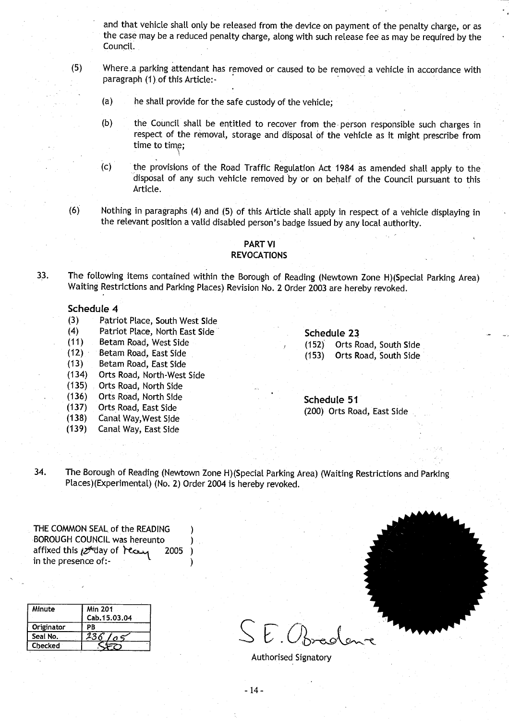and that vehicle shall only be released from the device on payment of the penalty charge, or as the case may be a reduced penalty charge, along with such release fee as may be required by the Council.

- (5) Where\_a .parking attendant has removed or caused to be removed a vehicle in accordance with paragraph (1) of this Article:-
	- (a) he shalt provide for the safe custody of the vehicle;
	- (b) the Council shall be entitled to recover from the person responsible such charges in respect of the removal, storage and disposal of the vehicle as it might prescribe from time to time;
	- (c) the provisions of the Road Traffic Regulation Act 1984 as amended shall apply to the disposal of any such vehicle removed by or on behalf of the Council pursuant to this Article.
- (6) Nothing in paragraphs (4) and (5) of this Article shall apply in respect of a vehicle displaying in the relevant position a valid disabled person's badge issued by any local authority .

### PART VI **REVOCATIONS**

33. The following items contained within the Borough of Reading (Newtown Zone H)(Special Parking Area) Waiting Restrictions and Parking Places) Revision No. 2 Order 2003 are hereby revoked.

### Schedule 4

- (3) Patriot Place, South West Side<br>(4) Patriot Place, North East Side
- (4) Patriot Place, North East Side<br>
(11) Betam Road, West Side (152) Orts R
- 
- (12) Betam Road, East Side (153)<br>(13) Betam Road, East Side (153)
- **(13) Betam** Road, East Side
- (134) Orts Road, North-West Side
- Orts Road, North Side
- (136) Orts Road, North Side **Schedule 5 <sup>1</sup>**
- 
- Canal Way, West Side
- (139) Canal Way, East Side

(11) Betam Road, West Side (152) Orts Road, South Side<br>(12) Betam Road, East Side (153) Orts Road, South Side

(137) Orts Road, East Side (200) Orts Road, East Side

34. The Borough of Reading (Newtown Zone H)(Special Parking Area) (Waiting Restrictions and Parking Places) (Experimental) (No. 2) Order 2004 is hereby revoked.

> )  $\lambda$

THE COMMON SEAL of the READING BOROUGH COUNCIL was hereunto  $\frac{1}{2^{k}}$ day of  $\frac{1}{2^{k}}$  2005) in the presence of:-

| Minute         | <b>Min 201</b> |  |
|----------------|----------------|--|
|                | Cab.15.03.04   |  |
| Originator     | ΡR             |  |
| Seal No.       | $\sigma$ s     |  |
| <b>Checked</b> |                |  |

<u>Seal No. 236/05</u> Seal No. 236/05

Authorised Signatory

-14-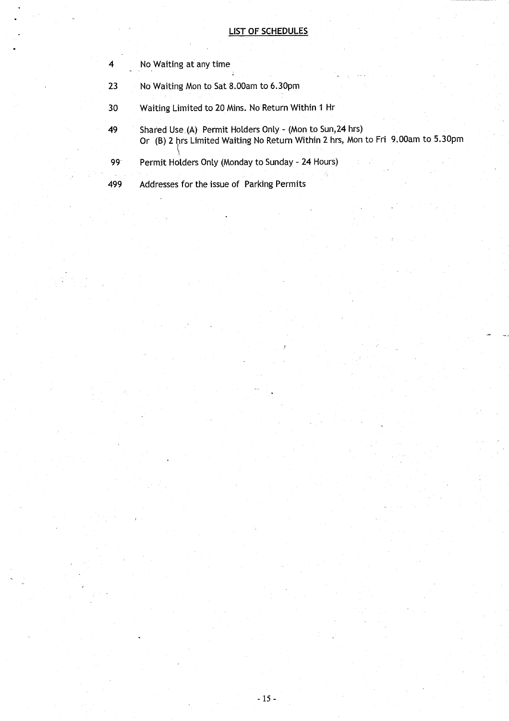# LIST OF SCHEDULES

|                 | No Waiting at any time                                                                                                                        |  |
|-----------------|-----------------------------------------------------------------------------------------------------------------------------------------------|--|
| 23              | No Waiting Mon to Sat 8.00am to 6.30pm                                                                                                        |  |
| 30              | Waiting Limited to 20 Mins. No Return Within 1 Hr                                                                                             |  |
| 49              | Shared Use (A) Permit Holders Only - (Mon to Sun, 24 hrs)<br>Or (B) 2 hrs Limited Waiting No Return Within 2 hrs, Mon to Fri 9.00am to 5.30pm |  |
| 99 <sup>°</sup> | Permit Holders Only (Monday to Sunday - 24 Hours)                                                                                             |  |
| 499             | Addresses for the issue of Parking Permits                                                                                                    |  |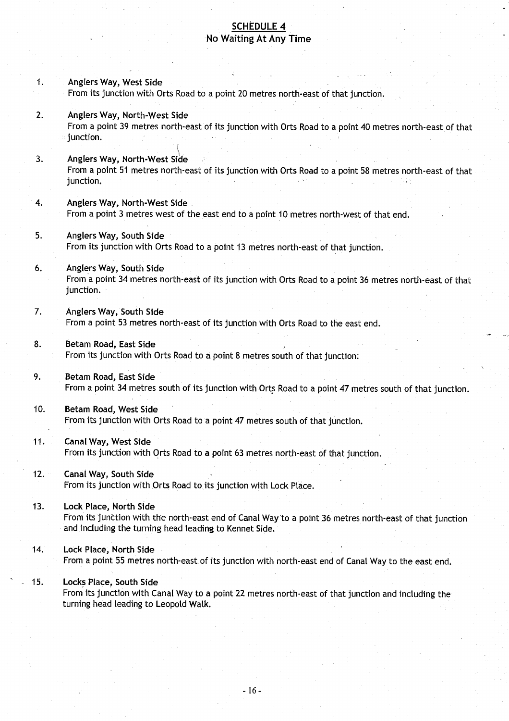# SCHEDULE 4 No Waiting At Any Time

- 1. Anglers Way, West Side From its junction with Orts Road to a point 20 metres north-east of that junction.
- 2. Anglers Way, North-West Side From a point 39 metres north-east of its junction with Orts Road to a point 40 metres north-east of that junction.
- 3. Anglers Way, North-**West Side** From a point 51 metres north-east of its junction with Orts Road to a point 58 metres north-east of that junction.
- 4. Anglers Way, North-**West Side** From a point 3 metres west of the east end to a point 10 metres north-west of that end.
- <sup>5</sup> . Anglers Way, **South Side** From its junction with Orts Road to a point 13 metres north-east of that junction.
- 6. Anglers Way, South Side From a point 34 metres north-east of its junction with Orts Road to a point 36 metres north-east of that junction.
- 7. Anglers Way, **South Side** From a point 53 metres north-east of its junction with Orts Road to the east end.
- **8. Betam Road**, **East Side** From its junction with Orts Road to a point 8 metres south of that junction.
- **<sup>9</sup> . Betam Road**, **East Side** From a point 34 metres south of its junction with Orts Road to a point 47 metres south of that junction.
- **10. Betam Road**, **West Side** From its junction with Orts Road to a point 47 metres south of that junction.
- **<sup>11</sup> . Canal Way, West Side** From its junction with Orts Road to a point 63 metres north-east of that junction.
- 12. Canal Way, **South Side** From its junction with Orts Road to its junction with Lock Place.
- 13. Lock Place, **North Side** From its junction with the north-east end of Canal Way to a point 36 metres north-east of that junction and including the turning head leading to Kennet Side .
- 14. Lock Place, **North Side** From a point 55 metres north-east of its junction with north-east end of Canal Way to the east end.
- **<sup>15</sup> . Locks Place**, **South Side**

From its junction with Canal Way to a point 22 metres north-east of that junction and including the turning head leading to Leopold Walk.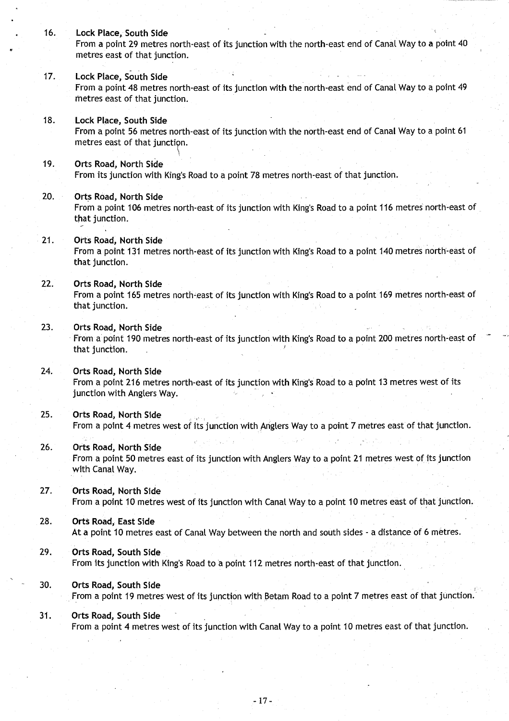16. Lock Place, **South Side** From a point 29 metres north-east of its junction with the north-east end of Canal Way to a point 40 metres east of that junction. 17. Lock Place, **South Side** From a point 48 metres north-east of its junction with the north-east end of Canal Way to a point 49 metres east of that junction. 18. Lock **Place**, **South Side** From a point 56 metres north-east of its junction with the north-east end of Canal Way to a point 61 metres east of that junction. <sup>19</sup> . Orts **Road**, **North Side** From its junction with King's Road to a point 78 metres north-east of that junction . **20. Orts Road**, **North Side** From a point 106 metres north-east of its junction with King's Road to a point 116 metres north-east of that junction. <sup>21</sup> . Orts **Road**, **North Side** From a point 131 metres north-east of its junction with King's Road to a point 140 metres north-east of that junction. <sup>22</sup> . Orts **Road**, **North Side** From a point 165 metres north-east of its junction with King's Road to a point 169 metres north-east of that junction. 23. Orts **Road**, **North Side** From a point 190 metres north-east of its junction with King's Road to a point 200 metres north-east of that junction. 24. Orts **Road**, **North Side** From a point 216 metres north-east of its junction with King's Road to a point 13 metres west of its junction with Anglers Way. 25. Orts **Road**, **North Side** From a point 4 metres west of its junction with Anglers Way to a point 7 metres east of that junction . 26. Orts **Road, North Side** From a point 50 metres east of its junction with Anglers Way to a point 21 metres west of its junction with Canal Way. 27. Orts **Road**, **North Side** From a point 10 metres west of its junction with Canal Way to a point 10 metres east of that junction. **<sup>28</sup> . O**rt**s Road**, **East Side** At a point 10 metres east of Canal Way between the north and south sides - a distance of 6 metres . 29. Orts **Road**, **South Side** From its junction with King's Road to a point 112 metres north-east of that junction . **30. Orts Road**, **South Side** From a point 19 metres west of its junction with **Betam** Road to a point 7 metres east of that junction. **<sup>31</sup> . Orts Road**, **South Side** From a point 4 metres west of its junction with Canal Way to a point 10 metres east of that junction.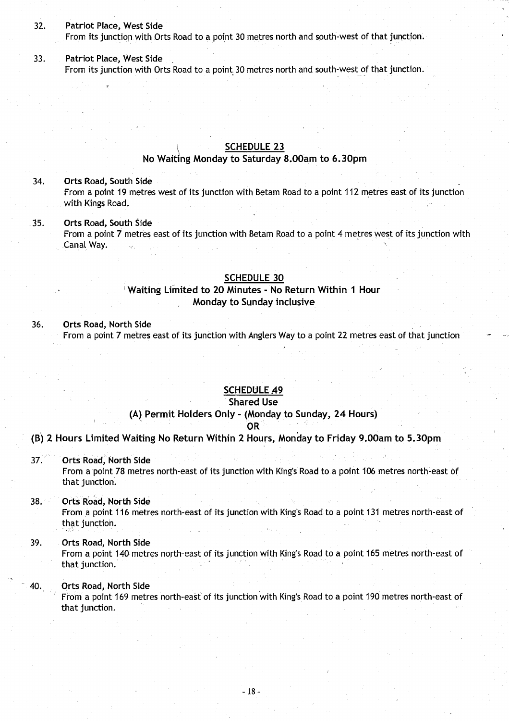### 32. Patriot **Place**, West Side

from its junction with Orts Road to a point 30 metres north and south-west of that junction.

<sup>33</sup> . Patriot **Place**, West Side From its junction with Orts Road to a point. 30 metres north and south-west of that junction.

## SCHEDULE 23

# **No Waiting** Monday to **Saturday 8.O0am to 6.30pm**

34. Orts **Road**, **South Side** From a point 19 metres west of its junction with Betam Road to a point 112 metres east of its junction with Kings Road.

<sup>35</sup> . Orts **Road**, **South Side** From a point 7 metres east of its junction with Betam Road to a point 4 metres west of its junction with Canal Way.

## **SCHEDULE 30**

# Waiting **Limited to 20 Minutes** - **No Return** Within 1 Hour . Monday to **Sunday inclusive**

### 36. Orts Road, **North Side**

From a point 7 metres east of its junction with Anglers Way to a point 22 metres east of that junction

### SCHEDULE 49

### **Shared Use**

## (A) Permit **Holders** Only - (Monday **to Sunday**, 24 Hours) OR

### **(B) 2 Hours Limited Waiting No Return** Within **2 Hours, Monday to** Friday **9.00am to 5.30pm**

37. Orts Road, **North Side**

From a point 78 metres north-east of its junction with King's Road to a point 106 metres north-east of that junction.

## **38. Orts Road**, **North Side**

From a point 116 metres north-east of its junction with **King's** Road to a point 131 metres north-east of that junction.

### 39. Orts Road, **North Side**

From a point 140 metres north-east of its junction with Kings Road to a point 165 metres north-east of that junction.

# 40. . Orts **Road**, **North Side**

From a point 169 metres north-east of its junction with King's Road to a point 190 metres north-east of that junction.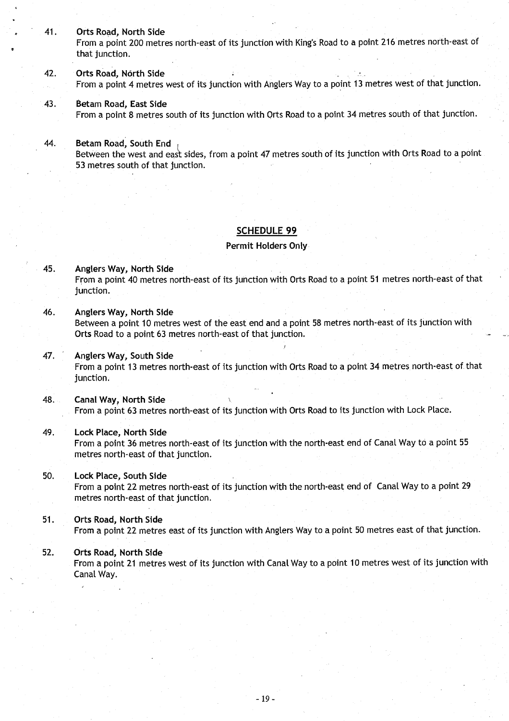- <sup>41</sup> . Orts Road**, North Side** From a point 200 metres north-east of its junction with King's Road to a point 216 metres north-east of that junction.
- <sup>42</sup> . Orts Road, **North Side** From a point 4 metres west of its junction with Anglers Way to a point 13 metres west of that junction .
- **43. Betam Road**, **East Side** From a point 8 metres south of its junction with Orts Road to a point 34 metres south of that junction .

## **44. Betam Road**, **South End**

Between the west and east sides, from a point 47 metres south of its junction with Orts Road to a point 53 metres south of that junction .

### SCHEDULE 99

#### **Permit Holders Only**

- 45 . Anglers Way, North Side From a point 40 metres north-east of its junction with Orts Road to a point 51 metres north-east of that junction.
- **46. Anglers** Way, North Side Between a point 10 metres west of the east end and a point 58 metres north-east of its junction with Orts Road to a point 63 metres north-east of that junction.
- 47. Anglers **Way, South Side** From a point 13 metres north-east of its junction with Orts Road to a point 34 metres north-east of that junction.
- **48 . Canal Way, North Side** From a point 63 metres north-east of its junction with Orts Road to its junction with Lock Place .

### <sup>49</sup> . Lock **Place** , North Side

From a point 36 metres north-east of its junction with the north-east end of Canal Way to a point 55 metres north-east of that junction.

### 50. Lock **Place**, **South Side**

From a point 22 metres north-east of its junction with the north-east end of Canal Way to a point 29 metres north-east of that junction.

### **<sup>51</sup> . Orts Road**, **North Side**

From a point 22 metres east of its junction with Anglers Way to a point 50 metres east of that junction .

### 52. Orts **Road**, **North Side**

From a point 21 metres west of its junction with Canal Way to a point 10 metres west of its junction with Canal Way.